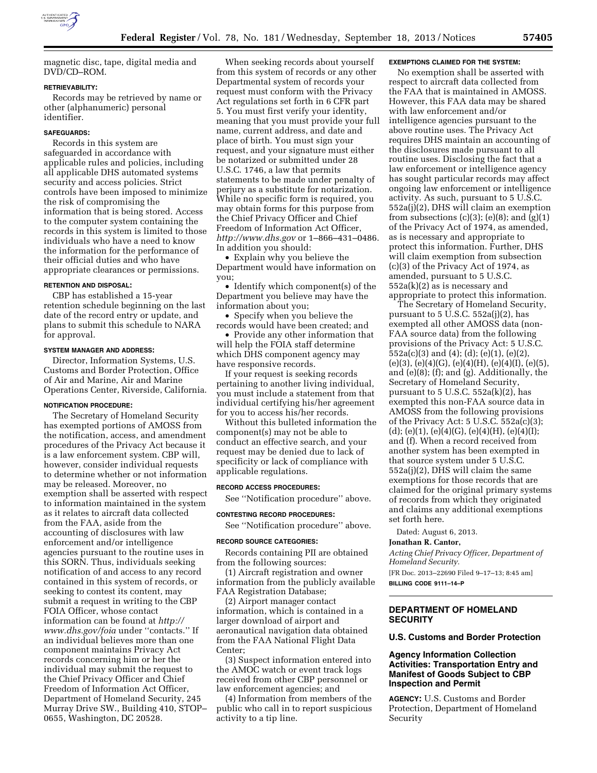

magnetic disc, tape, digital media and DVD/CD–ROM.

#### **RETRIEVABILITY:**

Records may be retrieved by name or other (alphanumeric) personal identifier.

## **SAFEGUARDS:**

Records in this system are safeguarded in accordance with applicable rules and policies, including all applicable DHS automated systems security and access policies. Strict controls have been imposed to minimize the risk of compromising the information that is being stored. Access to the computer system containing the records in this system is limited to those individuals who have a need to know the information for the performance of their official duties and who have appropriate clearances or permissions.

### **RETENTION AND DISPOSAL:**

CBP has established a 15-year retention schedule beginning on the last date of the record entry or update, and plans to submit this schedule to NARA for approval.

#### **SYSTEM MANAGER AND ADDRESS:**

Director, Information Systems, U.S. Customs and Border Protection, Office of Air and Marine, Air and Marine Operations Center, Riverside, California.

# **NOTIFICATION PROCEDURE:**

The Secretary of Homeland Security has exempted portions of AMOSS from the notification, access, and amendment procedures of the Privacy Act because it is a law enforcement system. CBP will, however, consider individual requests to determine whether or not information may be released. Moreover, no exemption shall be asserted with respect to information maintained in the system as it relates to aircraft data collected from the FAA, aside from the accounting of disclosures with law enforcement and/or intelligence agencies pursuant to the routine uses in this SORN. Thus, individuals seeking notification of and access to any record contained in this system of records, or seeking to contest its content, may submit a request in writing to the CBP FOIA Officer, whose contact information can be found at *[http://](http://www.dhs.gov/foia) [www.dhs.gov/foia](http://www.dhs.gov/foia)* under ''contacts.'' If an individual believes more than one component maintains Privacy Act records concerning him or her the individual may submit the request to the Chief Privacy Officer and Chief Freedom of Information Act Officer, Department of Homeland Security, 245 Murray Drive SW., Building 410, STOP– 0655, Washington, DC 20528.

When seeking records about yourself from this system of records or any other Departmental system of records your request must conform with the Privacy Act regulations set forth in 6 CFR part 5. You must first verify your identity, meaning that you must provide your full name, current address, and date and place of birth. You must sign your request, and your signature must either be notarized or submitted under 28 U.S.C. 1746, a law that permits statements to be made under penalty of perjury as a substitute for notarization. While no specific form is required, you may obtain forms for this purpose from the Chief Privacy Officer and Chief Freedom of Information Act Officer, *<http://www.dhs.gov>* or 1–866–431–0486. In addition you should:

• Explain why you believe the Department would have information on you;

• Identify which component(s) of the Department you believe may have the information about you;

• Specify when you believe the records would have been created; and

• Provide any other information that will help the FOIA staff determine which DHS component agency may have responsive records.

If your request is seeking records pertaining to another living individual, you must include a statement from that individual certifying his/her agreement for you to access his/her records.

Without this bulleted information the component(s) may not be able to conduct an effective search, and your request may be denied due to lack of specificity or lack of compliance with applicable regulations.

## **RECORD ACCESS PROCEDURES:**

See ''Notification procedure'' above.

**CONTESTING RECORD PROCEDURES:** 

See ''Notification procedure'' above.

#### **RECORD SOURCE CATEGORIES:**

Records containing PII are obtained from the following sources:

(1) Aircraft registration and owner information from the publicly available FAA Registration Database;

(2) Airport manager contact information, which is contained in a larger download of airport and aeronautical navigation data obtained from the FAA National Flight Data Center;

(3) Suspect information entered into the AMOC watch or event track logs received from other CBP personnel or law enforcement agencies; and

(4) Information from members of the public who call in to report suspicious activity to a tip line.

#### **EXEMPTIONS CLAIMED FOR THE SYSTEM:**

No exemption shall be asserted with respect to aircraft data collected from the FAA that is maintained in AMOSS. However, this FAA data may be shared with law enforcement and/or intelligence agencies pursuant to the above routine uses. The Privacy Act requires DHS maintain an accounting of the disclosures made pursuant to all routine uses. Disclosing the fact that a law enforcement or intelligence agency has sought particular records may affect ongoing law enforcement or intelligence activity. As such, pursuant to 5 U.S.C. 552a(j)(2), DHS will claim an exemption from subsections  $(c)(3)$ ;  $(e)(8)$ ; and  $(g)(1)$ of the Privacy Act of 1974, as amended, as is necessary and appropriate to protect this information. Further, DHS will claim exemption from subsection (c)(3) of the Privacy Act of 1974, as amended, pursuant to 5 U.S.C. 552a(k)(2) as is necessary and appropriate to protect this information.

The Secretary of Homeland Security, pursuant to  $5 \text{ U.S.C. } 552a(j)(2)$ , has exempted all other AMOSS data (non-FAA source data) from the following provisions of the Privacy Act: 5 U.S.C. 552a(c)(3) and (4); (d); (e)(1), (e)(2),  $(e)(3)$ ,  $(e)(4)(G)$ ,  $(e)(4)(H)$ ,  $(e)(4)(I)$ ,  $(e)(5)$ , and (e)(8); (f); and (g). Additionally, the Secretary of Homeland Security, pursuant to  $5$  U.S.C.  $552a(k)(2)$ , has exempted this non-FAA source data in AMOSS from the following provisions of the Privacy Act: 5 U.S.C. 552a(c)(3); (d); (e)(1), (e)(4)(G), (e)(4)(H), (e)(4)(I); and (f). When a record received from another system has been exempted in that source system under 5 U.S.C. 552a(j)(2), DHS will claim the same exemptions for those records that are claimed for the original primary systems of records from which they originated and claims any additional exemptions set forth here.

Dated: August 6, 2013.

#### **Jonathan R. Cantor,**

*Acting Chief Privacy Officer, Department of Homeland Security.*  [FR Doc. 2013–22690 Filed 9–17–13; 8:45 am]

**BILLING CODE 9111–14–P** 

## **DEPARTMENT OF HOMELAND SECURITY**

# **U.S. Customs and Border Protection**

## **Agency Information Collection Activities: Transportation Entry and Manifest of Goods Subject to CBP Inspection and Permit**

**AGENCY:** U.S. Customs and Border Protection, Department of Homeland Security